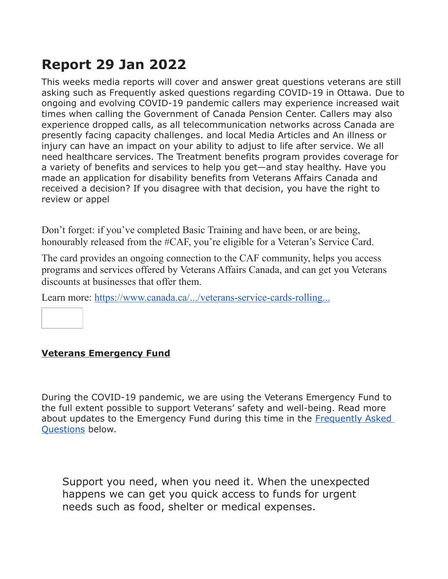# **Report 29 Jan 2022**

This weeks media reports will cover and answer great questions veterans are still asking such as Frequently asked questions regarding COVID-19 in Ottawa. Due to ongoing and evolving COVID-19 pandemic callers may experience increased wait times when calling the Government of Canada Pension Center. Callers may also experience dropped calls, as all telecommunication networks across Canada are presently facing capacity challenges. and local Media Articles and An illness or injury can have an impact on your ability to adjust to life after service. We all need healthcare services. The Treatment benefits program provides coverage for a variety of benefits and services to help you get—and stay healthy. Have you made an application for disability benefits from Veterans Affairs Canada and received a decision? If you disagree with that decision, you have the right to review or appel

Don't forget: if you've completed Basic Training and have been, or are being, honourably released from the #CAF, you're eligible for a Veteran's Service Card.

The card provides an ongoing connection to the CAF community, helps you access programs and services offered by Veterans Affairs Canada, and can get you Veterans discounts at businesses that offer them.

Learn more: <https://www.canada.ca/.../veterans-service-cards-rolling...>

#### **Veterans Emergency Fund**

During the COVID-19 pandemic, we are using the Veterans Emergency Fund to the full extent possible to support Veterans' safety and well-being. Read more about updates to the Emergency Fund during this time in the [Frequently Asked](https://www.veterans.gc.ca/eng/financial-support/emergency-funds/veterans-emergency-fund#05)  [Questions](https://www.veterans.gc.ca/eng/financial-support/emergency-funds/veterans-emergency-fund#05) below.

Support you need, when you need it. When the unexpected happens we can get you quick access to funds for urgent needs such as food, shelter or medical expenses.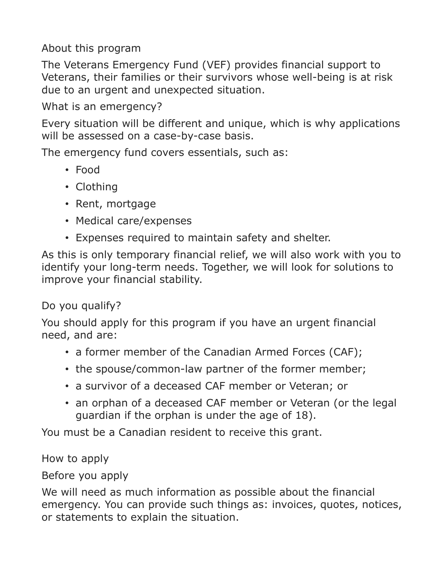About this program

The Veterans Emergency Fund (VEF) provides financial support to Veterans, their families or their survivors whose well-being is at risk due to an urgent and unexpected situation.

What is an emergency?

Every situation will be different and unique, which is why applications will be assessed on a case-by-case basis.

The emergency fund covers essentials, such as:

- Food
- Clothing
- Rent, mortgage
- Medical care/expenses
- Expenses required to maintain safety and shelter.

As this is only temporary financial relief, we will also work with you to identify your long-term needs. Together, we will look for solutions to improve your financial stability.

Do you qualify?

You should apply for this program if you have an urgent financial need, and are:

- a former member of the Canadian Armed Forces (CAF);
- the spouse/common-law partner of the former member;
- a survivor of a deceased CAF member or Veteran; or
- an orphan of a deceased CAF member or Veteran (or the legal guardian if the orphan is under the age of 18).

You must be a Canadian resident to receive this grant.

How to apply

Before you apply

We will need as much information as possible about the financial emergency. You can provide such things as: invoices, quotes, notices, or statements to explain the situation.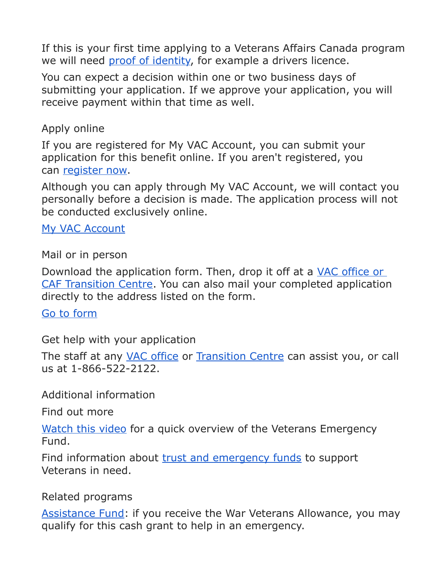If this is your first time applying to a Veterans Affairs Canada program we will need [proof of identity,](https://www.aadnc-aandc.gc.ca/eng/1516981589880/1516981605387) for example a drivers licence.

You can expect a decision within one or two business days of submitting your application. If we approve your application, you will receive payment within that time as well.

### Apply online

If you are registered for My VAC Account, you can submit your application for this benefit online. If you aren't registered, you can [register now.](https://www.veterans.gc.ca/eng/e_services/register)

Although you can apply through My VAC Account, we will contact you personally before a decision is made. The application process will not be conducted exclusively online.

[My VAC Account](https://www.veterans.gc.ca/eng/e_services)

Mail or in person

Download the application form. Then, drop it off at a VAC office or [CAF Transition Centre.](https://www.veterans.gc.ca/eng/contact#office) You can also mail your completed application directly to the address listed on the form.

[Go to form](https://www.veterans.gc.ca/eng/forms/document/587)

Get help with your application

The staff at any [VAC office](https://www.veterans.gc.ca/eng/contact#office) or [Transition Centre](https://www.veterans.gc.ca/eng/resources/transition-centre) can assist you, or call us at 1-866-522-2122.

Additional information

Find out more

[Watch this video](https://www.veterans.gc.ca/eng/about-vac/news-media/services-benefits-videos#vef) for a quick overview of the Veterans Emergency Fund.

Find information about [trust and emergency funds](https://www.veterans.gc.ca/eng/financial-support/emergency-funds/veterans-emergency-fund) to support Veterans in need.

#### Related programs

[Assistance Fund:](https://www.veterans.gc.ca/eng/financial-support/emergency-funds/assistance-fund) if you receive the War Veterans Allowance, you may qualify for this cash grant to help in an emergency.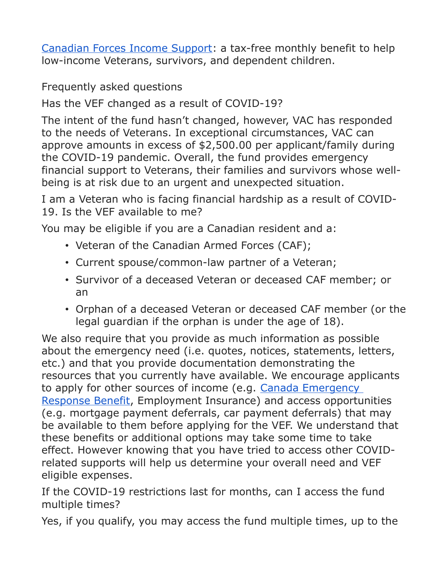[Canadian Forces Income Support:](https://www.veterans.gc.ca/eng/financial-support/income-support/canadian-forces-income-support) a tax-free monthly benefit to help low-income Veterans, survivors, and dependent children.

Frequently asked questions

Has the VEF changed as a result of COVID-19?

The intent of the fund hasn't changed, however, VAC has responded to the needs of Veterans. In exceptional circumstances, VAC can approve amounts in excess of \$2,500.00 per applicant/family during the COVID-19 pandemic. Overall, the fund provides emergency financial support to Veterans, their families and survivors whose wellbeing is at risk due to an urgent and unexpected situation.

I am a Veteran who is facing financial hardship as a result of COVID-19. Is the VEF available to me?

You may be eligible if you are a Canadian resident and a:

- Veteran of the Canadian Armed Forces (CAF);
- Current spouse/common-law partner of a Veteran;
- Survivor of a deceased Veteran or deceased CAF member; or an
- Orphan of a deceased Veteran or deceased CAF member (or the legal guardian if the orphan is under the age of 18).

We also require that you provide as much information as possible about the emergency need (i.e. quotes, notices, statements, letters, etc.) and that you provide documentation demonstrating the resources that you currently have available. We encourage applicants to apply for other sources of income (e.g. [Canada Emergency](https://www.canada.ca/en/services/benefits/ei/cerb-application.html)  [Response Benefit,](https://www.canada.ca/en/services/benefits/ei/cerb-application.html) Employment Insurance) and access opportunities (e.g. mortgage payment deferrals, car payment deferrals) that may be available to them before applying for the VEF. We understand that these benefits or additional options may take some time to take effect. However knowing that you have tried to access other COVIDrelated supports will help us determine your overall need and VEF eligible expenses.

If the COVID-19 restrictions last for months, can I access the fund multiple times?

Yes, if you qualify, you may access the fund multiple times, up to the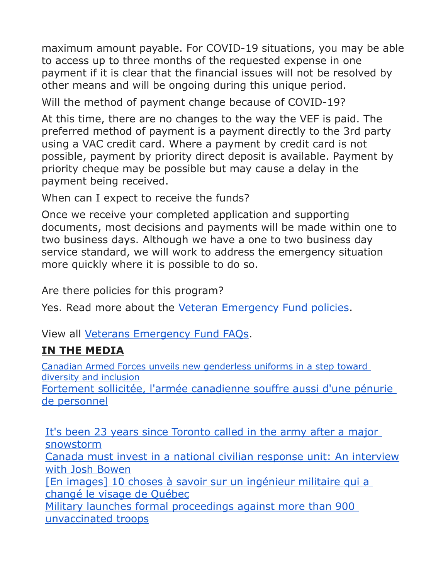maximum amount payable. For COVID-19 situations, you may be able to access up to three months of the requested expense in one payment if it is clear that the financial issues will not be resolved by other means and will be ongoing during this unique period.

Will the method of payment change because of COVID-19?

At this time, there are no changes to the way the VEF is paid. The preferred method of payment is a payment directly to the 3rd party using a VAC credit card. Where a payment by credit card is not possible, payment by priority direct deposit is available. Payment by priority cheque may be possible but may cause a delay in the payment being received.

When can I expect to receive the funds?

Once we receive your completed application and supporting documents, most decisions and payments will be made within one to two business days. Although we have a one to two business day service standard, we will work to address the emergency situation more quickly where it is possible to do so.

Are there policies for this program?

Yes. Read more about the [Veteran Emergency Fund policies.](https://www.veterans.gc.ca/eng/about-vac/legislation-policies/policies/document/2690)

View all [Veterans Emergency Fund FAQs.](https://www.veterans.gc.ca/eng/financial-support/emergency-funds/veterans-emergency-fund/vef-faq)

## **IN THE MEDIA**

[Canadian Armed Forces unveils new genderless uniforms in a step toward](http://sm1.multiview.com/t/gcH1AAfbaBPWMCSnQK1QsCSDtWaaCCxFQRUoaaaaCCxBQ3VRO8aa?o=6_x6yA~amp;Y=yZiWwVsnkdjgi~25z5Wjgq.ijo~amp;q=~7E~amp;s=)  [diversity and inclusion](http://sm1.multiview.com/t/gcH1AAfbaBPWMCSnQK1QsCSDtWaaCCxFQRUoaaaaCCxBQ3VRO8aa?o=6_x6yA~amp;Y=yZiWwVsnkdjgi~25z5Wjgq.ijo~amp;q=~7E~amp;s=) [Fortement sollicitée, l'armée canadienne souffre aussi d'une pénurie](http://sm1.multiview.com/t/gcH1AAfbaBPWMCSnQK1QsCSDtWaaCCxFQRUoaaaaCCxBQ3VRO8aa?o=6_x6yA~amp;Y=yZiWwVsnkdjgi~25z5Wjgq.ijo~amp;q=3~amp;2=)  [de personnel](http://sm1.multiview.com/t/gcH1AAfbaBPWMCSnQK1QsCSDtWaaCCxFQRUoaaaaCCxBQ3VRO8aa?o=6_x6yA~amp;Y=yZiWwVsnkdjgi~25z5Wjgq.ijo~amp;q=3~amp;2=)

[It's been 23 years since Toronto called in the army after a major](http://sm1.multiview.com/t/gcH1AAfbaBPWMCSnQK1QsCSDtWaaCCxFQRUoaaaaCCxBQ3VRO8aa?o=6_x6yA~amp;Y=yZiWwVsnkdjgi~25z5Wjgq.ijo~amp;q=p~amp;2=)  [snowstorm](http://sm1.multiview.com/t/gcH1AAfbaBPWMCSnQK1QsCSDtWaaCCxFQRUoaaaaCCxBQ3VRO8aa?o=6_x6yA~amp;Y=yZiWwVsnkdjgi~25z5Wjgq.ijo~amp;q=p~amp;2=) [Canada must invest in a national civilian response unit: An interview](http://sm1.multiview.com/t/gcH1AAfbaBPWMCSnQK1QsCSDtWaaCCxFQRUoaaaaCCxBQ3VRO8aa?o=6_x6yA~amp;Y=yZiWwVsnkdjgi~25z5Wjgq.ijo~amp;q=r~amp;2=) [with Josh Bowen](http://sm1.multiview.com/t/gcH1AAfbaBPWMCSnQK1QsCSDtWaaCCxFQRUoaaaaCCxBQ3VRO8aa?o=6_x6yA~amp;Y=yZiWwVsnkdjgi~25z5Wjgq.ijo~amp;q=r~amp;2=) [\[En images\] 10 choses à savoir sur un ingénieur militaire qui a](http://sm1.multiview.com/t/gcH1AAfbaBPWMCSnQK1QsCSDtWaaCCxFQRUoaaaaCCxBQ3VRO8aa?o=6_x6yA~amp;Y=yZiWwVsnkdjgi~25z5Wjgq.ijo~amp;q=t~amp;2=)  [changé le visage de Québec](http://sm1.multiview.com/t/gcH1AAfbaBPWMCSnQK1QsCSDtWaaCCxFQRUoaaaaCCxBQ3VRO8aa?o=6_x6yA~amp;Y=yZiWwVsnkdjgi~25z5Wjgq.ijo~amp;q=t~amp;2=) [Military launches formal proceedings against more than 900](http://sm1.multiview.com/t/gcH1AAfbaBPWMCSnQK1QsCSDtWaaCCxFQRUoaaaaCCxBQ3VRO8aa?o=6_x6yA~amp;Y=yZiWwVsnkdjgi~25z5Wjgq.ijo~amp;q=1~amp;2=)  [unvaccinated troops](http://sm1.multiview.com/t/gcH1AAfbaBPWMCSnQK1QsCSDtWaaCCxFQRUoaaaaCCxBQ3VRO8aa?o=6_x6yA~amp;Y=yZiWwVsnkdjgi~25z5Wjgq.ijo~amp;q=1~amp;2=)